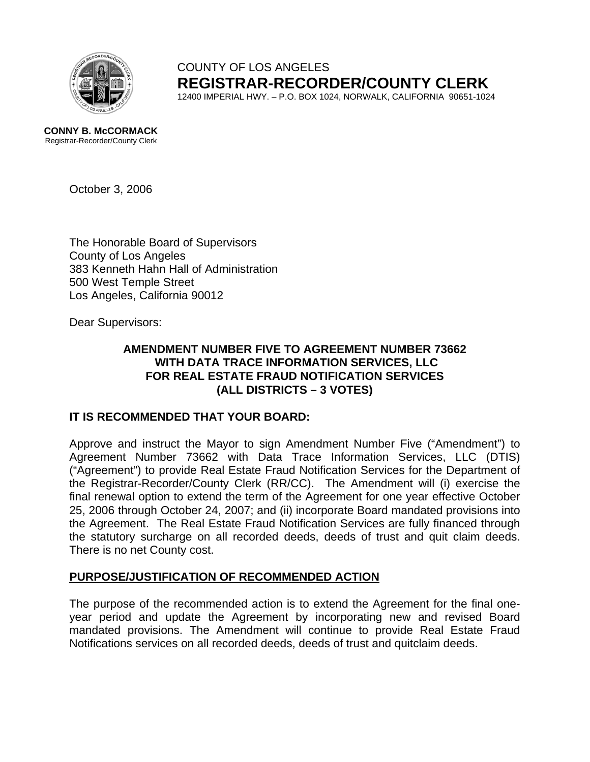

COUNTY OF LOS ANGELES **REGISTRAR-RECORDER/COUNTY CLERK** 12400 IMPERIAL HWY. – P.O. BOX 1024, NORWALK, CALIFORNIA 90651-1024

**CONNY B. McCORMACK** Registrar-Recorder/County Clerk

October 3, 2006

The Honorable Board of Supervisors County of Los Angeles 383 Kenneth Hahn Hall of Administration 500 West Temple Street Los Angeles, California 90012

Dear Supervisors:

## **AMENDMENT NUMBER FIVE TO AGREEMENT NUMBER 73662 WITH DATA TRACE INFORMATION SERVICES, LLC FOR REAL ESTATE FRAUD NOTIFICATION SERVICES (ALL DISTRICTS – 3 VOTES)**

# **IT IS RECOMMENDED THAT YOUR BOARD:**

Approve and instruct the Mayor to sign Amendment Number Five ("Amendment") to Agreement Number 73662 with Data Trace Information Services, LLC (DTIS) ("Agreement") to provide Real Estate Fraud Notification Services for the Department of the Registrar-Recorder/County Clerk (RR/CC). The Amendment will (i) exercise the final renewal option to extend the term of the Agreement for one year effective October 25, 2006 through October 24, 2007; and (ii) incorporate Board mandated provisions into the Agreement. The Real Estate Fraud Notification Services are fully financed through the statutory surcharge on all recorded deeds, deeds of trust and quit claim deeds. There is no net County cost.

## **PURPOSE/JUSTIFICATION OF RECOMMENDED ACTION**

The purpose of the recommended action is to extend the Agreement for the final oneyear period and update the Agreement by incorporating new and revised Board mandated provisions. The Amendment will continue to provide Real Estate Fraud Notifications services on all recorded deeds, deeds of trust and quitclaim deeds.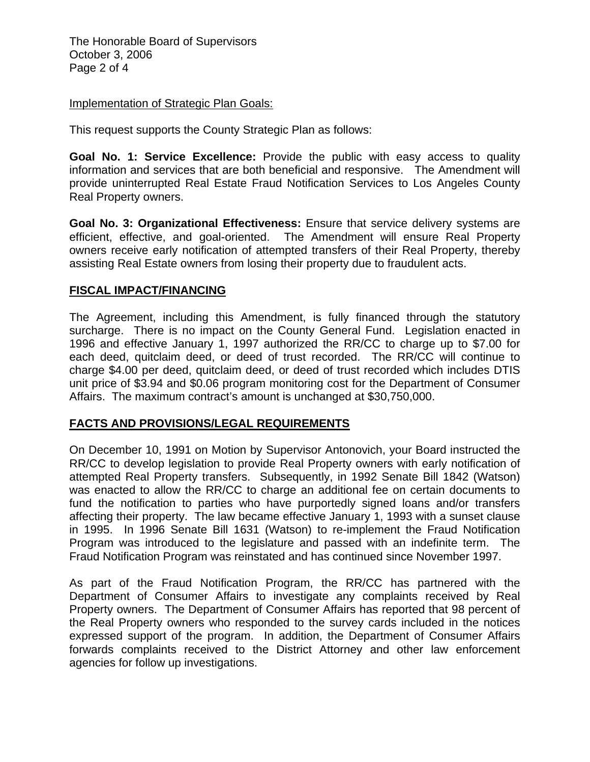The Honorable Board of Supervisors October 3, 2006 Page 2 of 4

#### **Implementation of Strategic Plan Goals:**

This request supports the County Strategic Plan as follows:

**Goal No. 1: Service Excellence:** Provide the public with easy access to quality information and services that are both beneficial and responsive. The Amendment will provide uninterrupted Real Estate Fraud Notification Services to Los Angeles County Real Property owners.

**Goal No. 3: Organizational Effectiveness:** Ensure that service delivery systems are efficient, effective, and goal-oriented. The Amendment will ensure Real Property owners receive early notification of attempted transfers of their Real Property, thereby assisting Real Estate owners from losing their property due to fraudulent acts.

## **FISCAL IMPACT/FINANCING**

The Agreement, including this Amendment, is fully financed through the statutory surcharge. There is no impact on the County General Fund. Legislation enacted in 1996 and effective January 1, 1997 authorized the RR/CC to charge up to \$7.00 for each deed, quitclaim deed, or deed of trust recorded. The RR/CC will continue to charge \$4.00 per deed, quitclaim deed, or deed of trust recorded which includes DTIS unit price of \$3.94 and \$0.06 program monitoring cost for the Department of Consumer Affairs. The maximum contract's amount is unchanged at \$30,750,000.

## **FACTS AND PROVISIONS/LEGAL REQUIREMENTS**

On December 10, 1991 on Motion by Supervisor Antonovich, your Board instructed the RR/CC to develop legislation to provide Real Property owners with early notification of attempted Real Property transfers. Subsequently, in 1992 Senate Bill 1842 (Watson) was enacted to allow the RR/CC to charge an additional fee on certain documents to fund the notification to parties who have purportedly signed loans and/or transfers affecting their property. The law became effective January 1, 1993 with a sunset clause in 1995. In 1996 Senate Bill 1631 (Watson) to re-implement the Fraud Notification Program was introduced to the legislature and passed with an indefinite term. The Fraud Notification Program was reinstated and has continued since November 1997.

As part of the Fraud Notification Program, the RR/CC has partnered with the Department of Consumer Affairs to investigate any complaints received by Real Property owners. The Department of Consumer Affairs has reported that 98 percent of the Real Property owners who responded to the survey cards included in the notices expressed support of the program. In addition, the Department of Consumer Affairs forwards complaints received to the District Attorney and other law enforcement agencies for follow up investigations.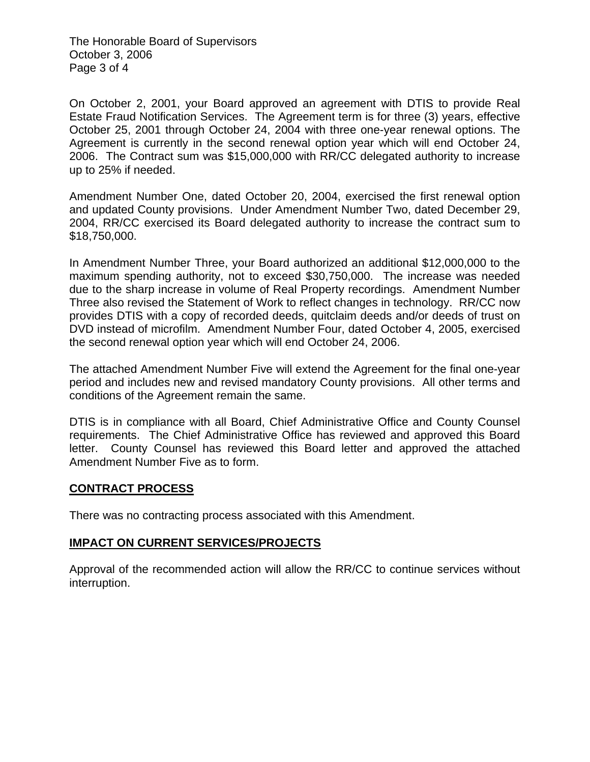The Honorable Board of Supervisors October 3, 2006 Page 3 of 4

On October 2, 2001, your Board approved an agreement with DTIS to provide Real Estate Fraud Notification Services. The Agreement term is for three (3) years, effective October 25, 2001 through October 24, 2004 with three one-year renewal options. The Agreement is currently in the second renewal option year which will end October 24, 2006. The Contract sum was \$15,000,000 with RR/CC delegated authority to increase up to 25% if needed.

Amendment Number One, dated October 20, 2004, exercised the first renewal option and updated County provisions. Under Amendment Number Two, dated December 29, 2004, RR/CC exercised its Board delegated authority to increase the contract sum to \$18,750,000.

In Amendment Number Three, your Board authorized an additional \$12,000,000 to the maximum spending authority, not to exceed \$30,750,000. The increase was needed due to the sharp increase in volume of Real Property recordings. Amendment Number Three also revised the Statement of Work to reflect changes in technology. RR/CC now provides DTIS with a copy of recorded deeds, quitclaim deeds and/or deeds of trust on DVD instead of microfilm. Amendment Number Four, dated October 4, 2005, exercised the second renewal option year which will end October 24, 2006.

The attached Amendment Number Five will extend the Agreement for the final one-year period and includes new and revised mandatory County provisions. All other terms and conditions of the Agreement remain the same.

DTIS is in compliance with all Board, Chief Administrative Office and County Counsel requirements. The Chief Administrative Office has reviewed and approved this Board letter. County Counsel has reviewed this Board letter and approved the attached Amendment Number Five as to form.

## **CONTRACT PROCESS**

There was no contracting process associated with this Amendment.

## **IMPACT ON CURRENT SERVICES/PROJECTS**

Approval of the recommended action will allow the RR/CC to continue services without interruption.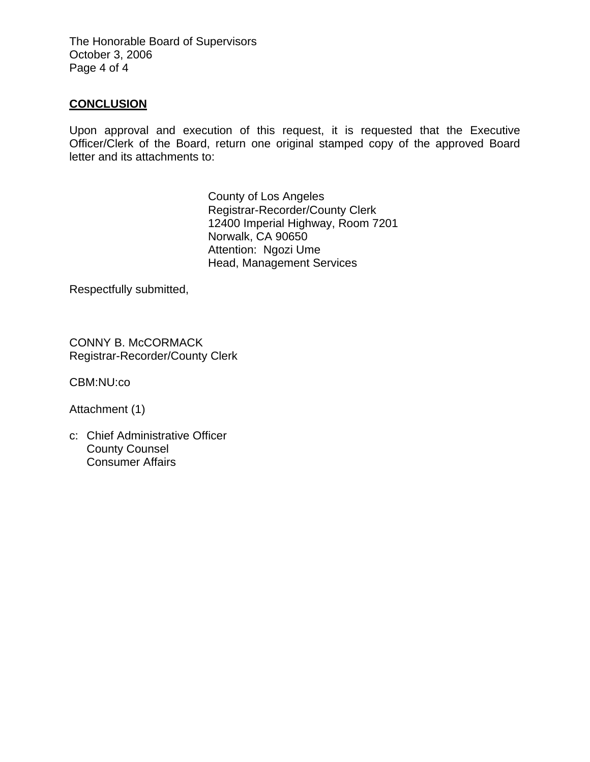The Honorable Board of Supervisors October 3, 2006 Page 4 of 4

## **CONCLUSION**

Upon approval and execution of this request, it is requested that the Executive Officer/Clerk of the Board, return one original stamped copy of the approved Board letter and its attachments to:

> County of Los Angeles Registrar-Recorder/County Clerk 12400 Imperial Highway, Room 7201 Norwalk, CA 90650 Attention: Ngozi Ume Head, Management Services

Respectfully submitted,

CONNY B. McCORMACK Registrar-Recorder/County Clerk

CBM:NU:co

Attachment (1)

c: Chief Administrative Officer County Counsel Consumer Affairs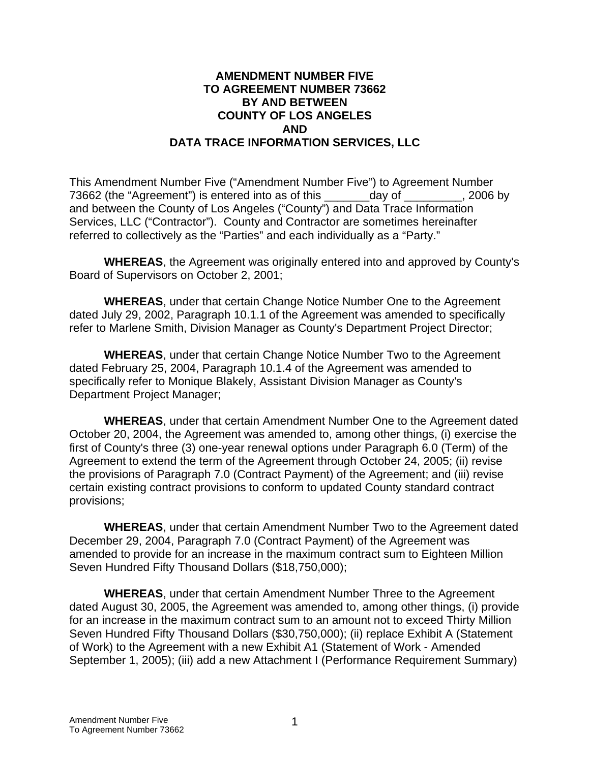## **AMENDMENT NUMBER FIVE TO AGREEMENT NUMBER 73662 BY AND BETWEEN COUNTY OF LOS ANGELES AND DATA TRACE INFORMATION SERVICES, LLC**

This Amendment Number Five ("Amendment Number Five") to Agreement Number 73662 (the "Agreement") is entered into as of this \_\_\_\_\_\_\_day of \_\_\_\_\_\_\_\_\_, 2006 by and between the County of Los Angeles ("County") and Data Trace Information Services, LLC ("Contractor"). County and Contractor are sometimes hereinafter referred to collectively as the "Parties" and each individually as a "Party."

**WHEREAS**, the Agreement was originally entered into and approved by County's Board of Supervisors on October 2, 2001;

**WHEREAS**, under that certain Change Notice Number One to the Agreement dated July 29, 2002, Paragraph 10.1.1 of the Agreement was amended to specifically refer to Marlene Smith, Division Manager as County's Department Project Director;

**WHEREAS**, under that certain Change Notice Number Two to the Agreement dated February 25, 2004, Paragraph 10.1.4 of the Agreement was amended to specifically refer to Monique Blakely, Assistant Division Manager as County's Department Project Manager;

**WHEREAS**, under that certain Amendment Number One to the Agreement dated October 20, 2004, the Agreement was amended to, among other things, (i) exercise the first of County's three (3) one-year renewal options under Paragraph 6.0 (Term) of the Agreement to extend the term of the Agreement through October 24, 2005; (ii) revise the provisions of Paragraph 7.0 (Contract Payment) of the Agreement; and (iii) revise certain existing contract provisions to conform to updated County standard contract provisions;

**WHEREAS**, under that certain Amendment Number Two to the Agreement dated December 29, 2004, Paragraph 7.0 (Contract Payment) of the Agreement was amended to provide for an increase in the maximum contract sum to Eighteen Million Seven Hundred Fifty Thousand Dollars (\$18,750,000);

 **WHEREAS**, under that certain Amendment Number Three to the Agreement dated August 30, 2005, the Agreement was amended to, among other things, (i) provide for an increase in the maximum contract sum to an amount not to exceed Thirty Million Seven Hundred Fifty Thousand Dollars (\$30,750,000); (ii) replace Exhibit A (Statement of Work) to the Agreement with a new Exhibit A1 (Statement of Work - Amended September 1, 2005); (iii) add a new Attachment I (Performance Requirement Summary)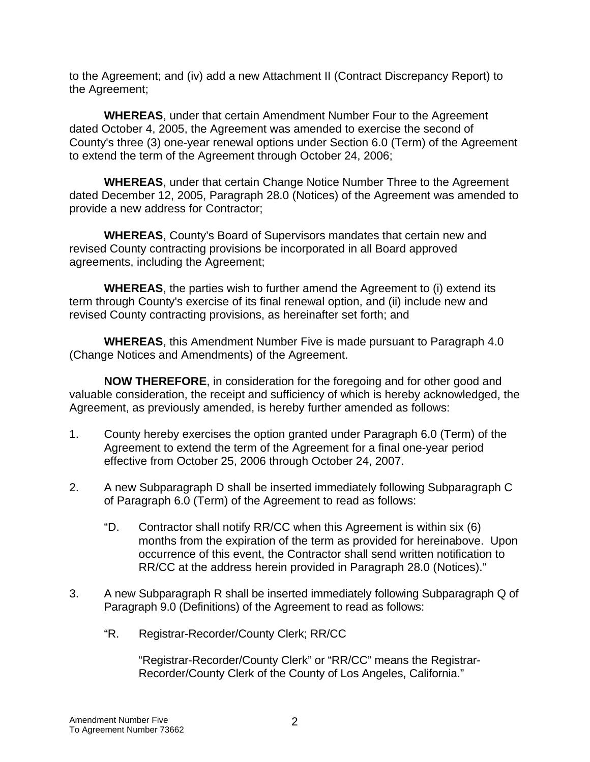to the Agreement; and (iv) add a new Attachment II (Contract Discrepancy Report) to the Agreement;

**WHEREAS**, under that certain Amendment Number Four to the Agreement dated October 4, 2005, the Agreement was amended to exercise the second of County's three (3) one-year renewal options under Section 6.0 (Term) of the Agreement to extend the term of the Agreement through October 24, 2006;

**WHEREAS**, under that certain Change Notice Number Three to the Agreement dated December 12, 2005, Paragraph 28.0 (Notices) of the Agreement was amended to provide a new address for Contractor;

**WHEREAS**, County's Board of Supervisors mandates that certain new and revised County contracting provisions be incorporated in all Board approved agreements, including the Agreement;

**WHEREAS**, the parties wish to further amend the Agreement to (i) extend its term through County's exercise of its final renewal option, and (ii) include new and revised County contracting provisions, as hereinafter set forth; and

**WHEREAS**, this Amendment Number Five is made pursuant to Paragraph 4.0 (Change Notices and Amendments) of the Agreement.

**NOW THEREFORE**, in consideration for the foregoing and for other good and valuable consideration, the receipt and sufficiency of which is hereby acknowledged, the Agreement, as previously amended, is hereby further amended as follows:

- 1. County hereby exercises the option granted under Paragraph 6.0 (Term) of the Agreement to extend the term of the Agreement for a final one-year period effective from October 25, 2006 through October 24, 2007.
- 2. A new Subparagraph D shall be inserted immediately following Subparagraph C of Paragraph 6.0 (Term) of the Agreement to read as follows:
	- "D. Contractor shall notify RR/CC when this Agreement is within six (6) months from the expiration of the term as provided for hereinabove. Upon occurrence of this event, the Contractor shall send written notification to RR/CC at the address herein provided in Paragraph 28.0 (Notices)."
- 3. A new Subparagraph R shall be inserted immediately following Subparagraph Q of Paragraph 9.0 (Definitions) of the Agreement to read as follows:
	- "R. Registrar-Recorder/County Clerk; RR/CC

"Registrar-Recorder/County Clerk" or "RR/CC" means the Registrar-Recorder/County Clerk of the County of Los Angeles, California."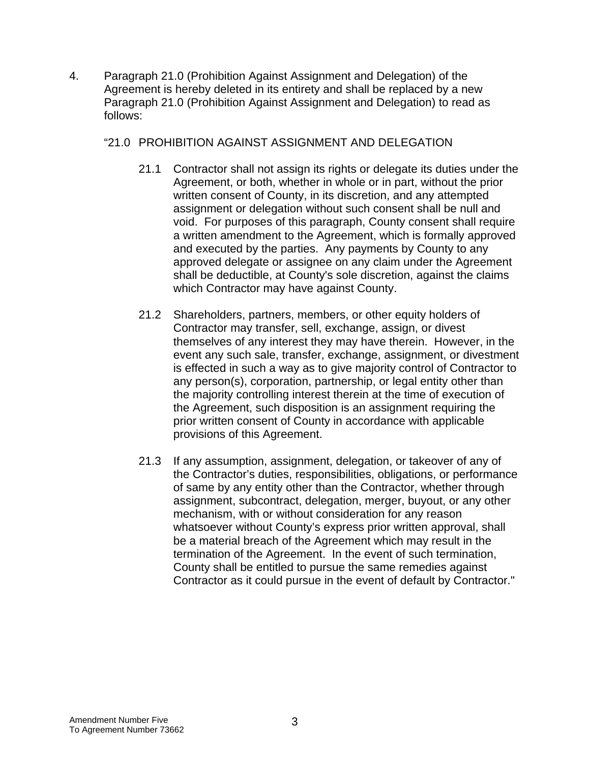4. Paragraph 21.0 (Prohibition Against Assignment and Delegation) of the Agreement is hereby deleted in its entirety and shall be replaced by a new Paragraph 21.0 (Prohibition Against Assignment and Delegation) to read as follows:

## "21.0 PROHIBITION AGAINST ASSIGNMENT AND DELEGATION

- 21.1 Contractor shall not assign its rights or delegate its duties under the Agreement, or both, whether in whole or in part, without the prior written consent of County, in its discretion, and any attempted assignment or delegation without such consent shall be null and void. For purposes of this paragraph, County consent shall require a written amendment to the Agreement, which is formally approved and executed by the parties. Any payments by County to any approved delegate or assignee on any claim under the Agreement shall be deductible, at County's sole discretion, against the claims which Contractor may have against County.
- 21.2 Shareholders, partners, members, or other equity holders of Contractor may transfer, sell, exchange, assign, or divest themselves of any interest they may have therein. However, in the event any such sale, transfer, exchange, assignment, or divestment is effected in such a way as to give majority control of Contractor to any person(s), corporation, partnership, or legal entity other than the majority controlling interest therein at the time of execution of the Agreement, such disposition is an assignment requiring the prior written consent of County in accordance with applicable provisions of this Agreement.
- 21.3 If any assumption, assignment, delegation, or takeover of any of the Contractor's duties, responsibilities, obligations, or performance of same by any entity other than the Contractor, whether through assignment, subcontract, delegation, merger, buyout, or any other mechanism, with or without consideration for any reason whatsoever without County's express prior written approval, shall be a material breach of the Agreement which may result in the termination of the Agreement. In the event of such termination, County shall be entitled to pursue the same remedies against Contractor as it could pursue in the event of default by Contractor."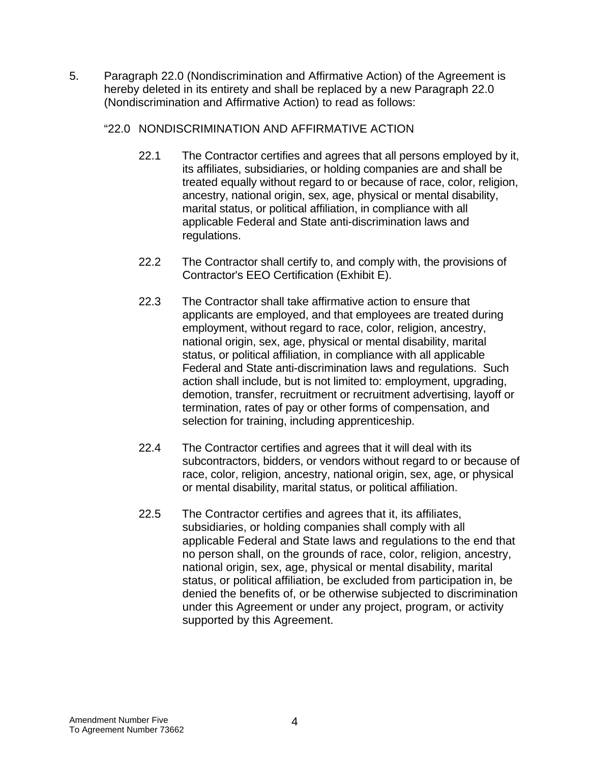5. Paragraph 22.0 (Nondiscrimination and Affirmative Action) of the Agreement is hereby deleted in its entirety and shall be replaced by a new Paragraph 22.0 (Nondiscrimination and Affirmative Action) to read as follows:

## "22.0 NONDISCRIMINATION AND AFFIRMATIVE ACTION

- 22.1 The Contractor certifies and agrees that all persons employed by it, its affiliates, subsidiaries, or holding companies are and shall be treated equally without regard to or because of race, color, religion, ancestry, national origin, sex, age, physical or mental disability, marital status, or political affiliation, in compliance with all applicable Federal and State anti-discrimination laws and regulations.
- 22.2 The Contractor shall certify to, and comply with, the provisions of Contractor's EEO Certification (Exhibit E).
- 22.3 The Contractor shall take affirmative action to ensure that applicants are employed, and that employees are treated during employment, without regard to race, color, religion, ancestry, national origin, sex, age, physical or mental disability, marital status, or political affiliation, in compliance with all applicable Federal and State anti-discrimination laws and regulations. Such action shall include, but is not limited to: employment, upgrading, demotion, transfer, recruitment or recruitment advertising, layoff or termination, rates of pay or other forms of compensation, and selection for training, including apprenticeship.
- 22.4 The Contractor certifies and agrees that it will deal with its subcontractors, bidders, or vendors without regard to or because of race, color, religion, ancestry, national origin, sex, age, or physical or mental disability, marital status, or political affiliation.
- 22.5 The Contractor certifies and agrees that it, its affiliates, subsidiaries, or holding companies shall comply with all applicable Federal and State laws and regulations to the end that no person shall, on the grounds of race, color, religion, ancestry, national origin, sex, age, physical or mental disability, marital status, or political affiliation, be excluded from participation in, be denied the benefits of, or be otherwise subjected to discrimination under this Agreement or under any project, program, or activity supported by this Agreement.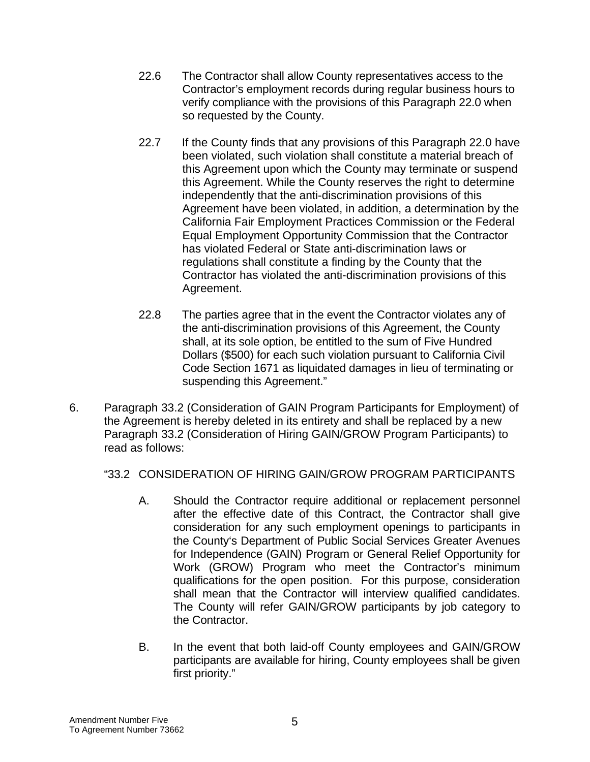- 22.6 The Contractor shall allow County representatives access to the Contractor's employment records during regular business hours to verify compliance with the provisions of this Paragraph 22.0 when so requested by the County.
- 22.7 If the County finds that any provisions of this Paragraph 22.0 have been violated, such violation shall constitute a material breach of this Agreement upon which the County may terminate or suspend this Agreement. While the County reserves the right to determine independently that the anti-discrimination provisions of this Agreement have been violated, in addition, a determination by the California Fair Employment Practices Commission or the Federal Equal Employment Opportunity Commission that the Contractor has violated Federal or State anti-discrimination laws or regulations shall constitute a finding by the County that the Contractor has violated the anti-discrimination provisions of this Agreement.
- 22.8 The parties agree that in the event the Contractor violates any of the anti-discrimination provisions of this Agreement, the County shall, at its sole option, be entitled to the sum of Five Hundred Dollars (\$500) for each such violation pursuant to California Civil Code Section 1671 as liquidated damages in lieu of terminating or suspending this Agreement."
- 6. Paragraph 33.2 (Consideration of GAIN Program Participants for Employment) of the Agreement is hereby deleted in its entirety and shall be replaced by a new Paragraph 33.2 (Consideration of Hiring GAIN/GROW Program Participants) to read as follows:

# "33.2 CONSIDERATION OF HIRING GAIN/GROW PROGRAM PARTICIPANTS

- A. Should the Contractor require additional or replacement personnel after the effective date of this Contract, the Contractor shall give consideration for any such employment openings to participants in the County's Department of Public Social Services Greater Avenues for Independence (GAIN) Program or General Relief Opportunity for Work (GROW) Program who meet the Contractor's minimum qualifications for the open position. For this purpose, consideration shall mean that the Contractor will interview qualified candidates. The County will refer GAIN/GROW participants by job category to the Contractor.
- B. In the event that both laid-off County employees and GAIN/GROW participants are available for hiring, County employees shall be given first priority."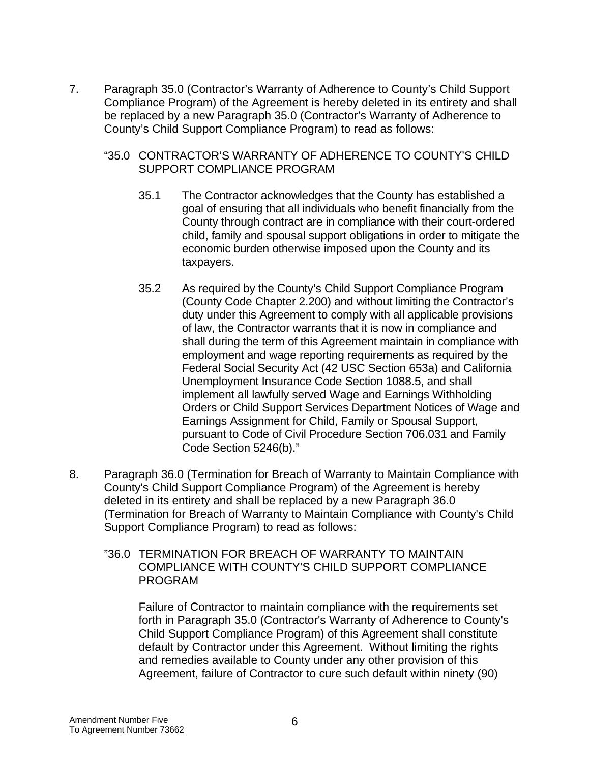7. Paragraph 35.0 (Contractor's Warranty of Adherence to County's Child Support Compliance Program) of the Agreement is hereby deleted in its entirety and shall be replaced by a new Paragraph 35.0 (Contractor's Warranty of Adherence to County's Child Support Compliance Program) to read as follows:

#### "35.0 CONTRACTOR'S WARRANTY OF ADHERENCE TO COUNTY'S CHILD SUPPORT COMPLIANCE PROGRAM

- 35.1 The Contractor acknowledges that the County has established a goal of ensuring that all individuals who benefit financially from the County through contract are in compliance with their court-ordered child, family and spousal support obligations in order to mitigate the economic burden otherwise imposed upon the County and its taxpayers.
- 35.2 As required by the County's Child Support Compliance Program (County Code Chapter 2.200) and without limiting the Contractor's duty under this Agreement to comply with all applicable provisions of law, the Contractor warrants that it is now in compliance and shall during the term of this Agreement maintain in compliance with employment and wage reporting requirements as required by the Federal Social Security Act (42 USC Section 653a) and California Unemployment Insurance Code Section 1088.5, and shall implement all lawfully served Wage and Earnings Withholding Orders or Child Support Services Department Notices of Wage and Earnings Assignment for Child, Family or Spousal Support, pursuant to Code of Civil Procedure Section 706.031 and Family Code Section 5246(b)."
- 8. Paragraph 36.0 (Termination for Breach of Warranty to Maintain Compliance with County's Child Support Compliance Program) of the Agreement is hereby deleted in its entirety and shall be replaced by a new Paragraph 36.0 (Termination for Breach of Warranty to Maintain Compliance with County's Child Support Compliance Program) to read as follows:
	- "36.0 TERMINATION FOR BREACH OF WARRANTY TO MAINTAIN COMPLIANCE WITH COUNTY'S CHILD SUPPORT COMPLIANCE PROGRAM

 Failure of Contractor to maintain compliance with the requirements set forth in Paragraph 35.0 (Contractor's Warranty of Adherence to County's Child Support Compliance Program) of this Agreement shall constitute default by Contractor under this Agreement. Without limiting the rights and remedies available to County under any other provision of this Agreement, failure of Contractor to cure such default within ninety (90)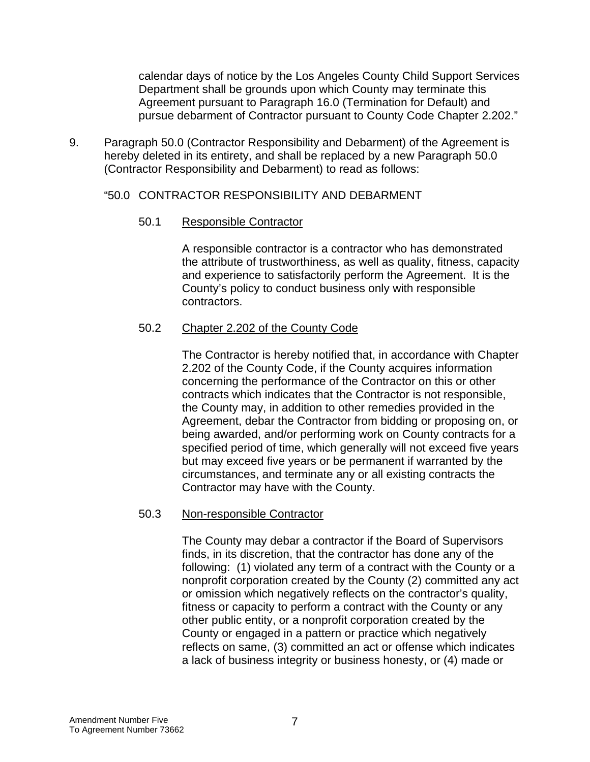calendar days of notice by the Los Angeles County Child Support Services Department shall be grounds upon which County may terminate this Agreement pursuant to Paragraph 16.0 (Termination for Default) and pursue debarment of Contractor pursuant to County Code Chapter 2.202."

9. Paragraph 50.0 (Contractor Responsibility and Debarment) of the Agreement is hereby deleted in its entirety, and shall be replaced by a new Paragraph 50.0 (Contractor Responsibility and Debarment) to read as follows:

## "50.0 CONTRACTOR RESPONSIBILITY AND DEBARMENT

## 50.1 Responsible Contractor

 A responsible contractor is a contractor who has demonstrated the attribute of trustworthiness, as well as quality, fitness, capacity and experience to satisfactorily perform the Agreement. It is the County's policy to conduct business only with responsible contractors.

# 50.2 Chapter 2.202 of the County Code

 The Contractor is hereby notified that, in accordance with Chapter 2.202 of the County Code, if the County acquires information concerning the performance of the Contractor on this or other contracts which indicates that the Contractor is not responsible, the County may, in addition to other remedies provided in the Agreement, debar the Contractor from bidding or proposing on, or being awarded, and/or performing work on County contracts for a specified period of time, which generally will not exceed five years but may exceed five years or be permanent if warranted by the circumstances, and terminate any or all existing contracts the Contractor may have with the County.

## 50.3 Non-responsible Contractor

 The County may debar a contractor if the Board of Supervisors finds, in its discretion, that the contractor has done any of the following: (1) violated any term of a contract with the County or a nonprofit corporation created by the County (2) committed any act or omission which negatively reflects on the contractor's quality, fitness or capacity to perform a contract with the County or any other public entity, or a nonprofit corporation created by the County or engaged in a pattern or practice which negatively reflects on same, (3) committed an act or offense which indicates a lack of business integrity or business honesty, or (4) made or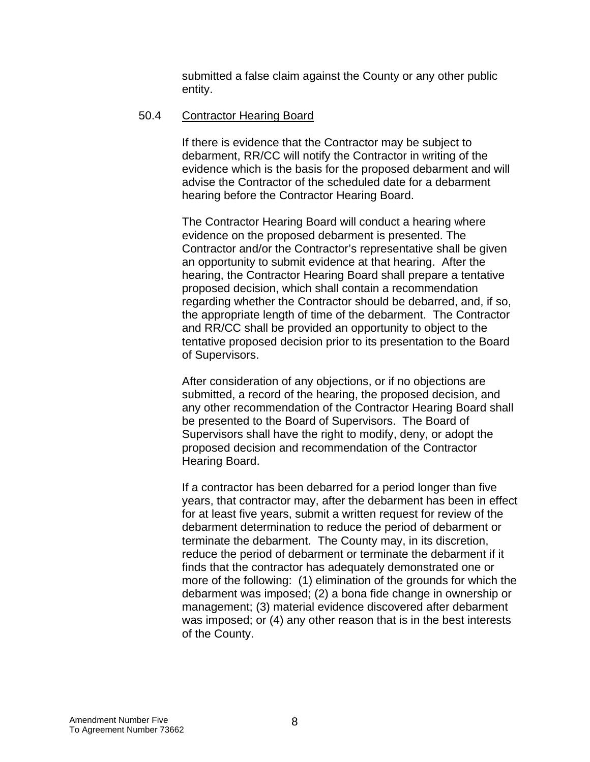submitted a false claim against the County or any other public entity.

## 50.4 Contractor Hearing Board

If there is evidence that the Contractor may be subject to debarment, RR/CC will notify the Contractor in writing of the evidence which is the basis for the proposed debarment and will advise the Contractor of the scheduled date for a debarment hearing before the Contractor Hearing Board.

 The Contractor Hearing Board will conduct a hearing where evidence on the proposed debarment is presented. The Contractor and/or the Contractor's representative shall be given an opportunity to submit evidence at that hearing. After the hearing, the Contractor Hearing Board shall prepare a tentative proposed decision, which shall contain a recommendation regarding whether the Contractor should be debarred, and, if so, the appropriate length of time of the debarment. The Contractor and RR/CC shall be provided an opportunity to object to the tentative proposed decision prior to its presentation to the Board of Supervisors.

 After consideration of any objections, or if no objections are submitted, a record of the hearing, the proposed decision, and any other recommendation of the Contractor Hearing Board shall be presented to the Board of Supervisors. The Board of Supervisors shall have the right to modify, deny, or adopt the proposed decision and recommendation of the Contractor Hearing Board.

 If a contractor has been debarred for a period longer than five years, that contractor may, after the debarment has been in effect for at least five years, submit a written request for review of the debarment determination to reduce the period of debarment or terminate the debarment. The County may, in its discretion, reduce the period of debarment or terminate the debarment if it finds that the contractor has adequately demonstrated one or more of the following: (1) elimination of the grounds for which the debarment was imposed; (2) a bona fide change in ownership or management; (3) material evidence discovered after debarment was imposed; or (4) any other reason that is in the best interests of the County.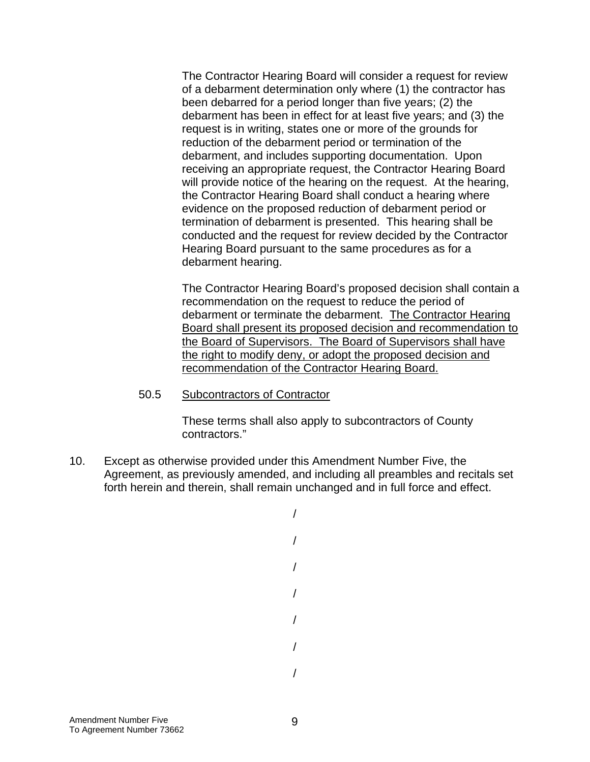The Contractor Hearing Board will consider a request for review of a debarment determination only where (1) the contractor has been debarred for a period longer than five years; (2) the debarment has been in effect for at least five years; and (3) the request is in writing, states one or more of the grounds for reduction of the debarment period or termination of the debarment, and includes supporting documentation. Upon receiving an appropriate request, the Contractor Hearing Board will provide notice of the hearing on the request. At the hearing, the Contractor Hearing Board shall conduct a hearing where evidence on the proposed reduction of debarment period or termination of debarment is presented. This hearing shall be conducted and the request for review decided by the Contractor Hearing Board pursuant to the same procedures as for a debarment hearing.

 The Contractor Hearing Board's proposed decision shall contain a recommendation on the request to reduce the period of debarment or terminate the debarment. The Contractor Hearing Board shall present its proposed decision and recommendation to the Board of Supervisors. The Board of Supervisors shall have the right to modify deny, or adopt the proposed decision and recommendation of the Contractor Hearing Board.

#### 50.5 Subcontractors of Contractor

 These terms shall also apply to subcontractors of County contractors."

10. Except as otherwise provided under this Amendment Number Five, the Agreement, as previously amended, and including all preambles and recitals set forth herein and therein, shall remain unchanged and in full force and effect.

> / / / / / / /